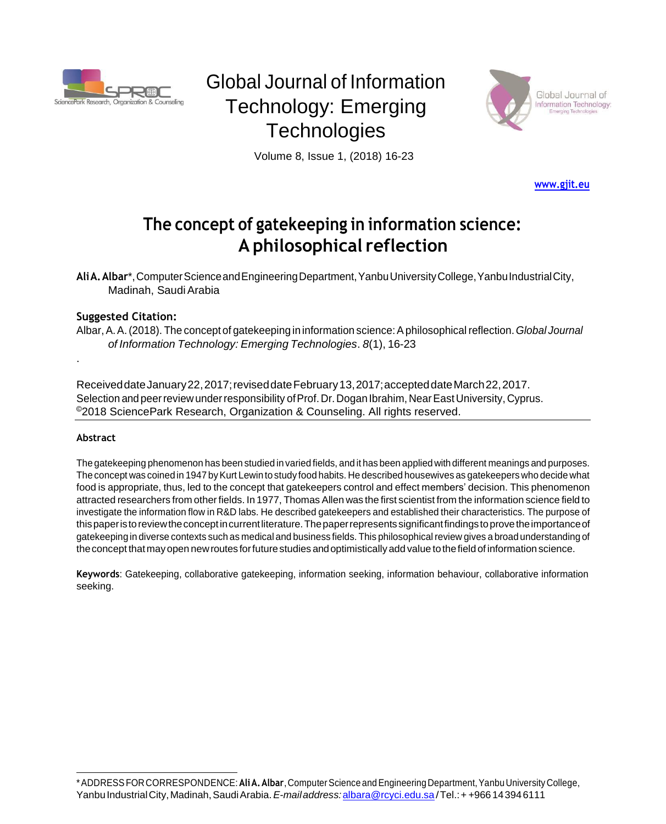

# Global Journal of Information Technology: Emerging **Technologies**



Volume 8, Issue 1, (2018) 16-23

**[www.gjit.eu](http://www.gjit.eu/)**

## **The concept of gatekeeping in information science: A philosophical reflection**

**AliA.Albar**\*,ComputerScienceandEngineeringDepartment,YanbuUniversityCollege,YanbuIndustrialCity, Madinah, Saudi Arabia

#### **Suggested Citation:**

Albar,A.A.(2018). The concept of gatekeeping in information science:Aphilosophical reflection.*Global Journal of Information Technology: Emerging Technologies*. *8*(1), 16-23

ReceiveddateJanuary22,2017;reviseddateFebruary13,2017;accepteddateMarch22,2017. Selection and peer review under responsibility of Prof. Dr. Dogan Ibrahim, Near East University, Cyprus. ©2018 SciencePark Research, Organization & Counseling. All rights reserved.

#### **Abstract**

.

The gatekeeping phenomenon has been studied in varied fields, and it has been applied with different meanings and purposes. The concept was coined in 1947 by Kurt Lewin to study food habits. He described housewives as gatekeepers who decide what food is appropriate, thus, led to the concept that gatekeepers control and effect members' decision. This phenomenon attracted researchers from otherfields. In 1977, Thomas Allen was the first scientist from the information science field to investigate the information flow in R&D labs. He described gatekeepers and established their characteristics. The purpose of thispaperistoreviewtheconceptincurrentliterature.Thepaperrepresentssignificantfindingstoprovetheimportanceof gatekeeping in diverse contexts such as medical and business fields. This philosophicalreview gives a broad understanding of theconcept thatmayopen newroutes forfuture studies andoptimistically add value tothefield of information science.

**Keywords**: Gatekeeping, collaborative gatekeeping, information seeking, information behaviour, collaborative information seeking.

<sup>\*</sup>ADDRESSFORCORRESPONDENCE:**AliA.Albar**,ComputerScience andEngineering Department,YanbuUniversity College, YanbuIndustrialCity,Madinah,SaudiArabia.*E-mailaddress:*[albara@rcyci.edu.sa/](mailto:albara@rcyci.edu.sa)Tel.:+ +966143946111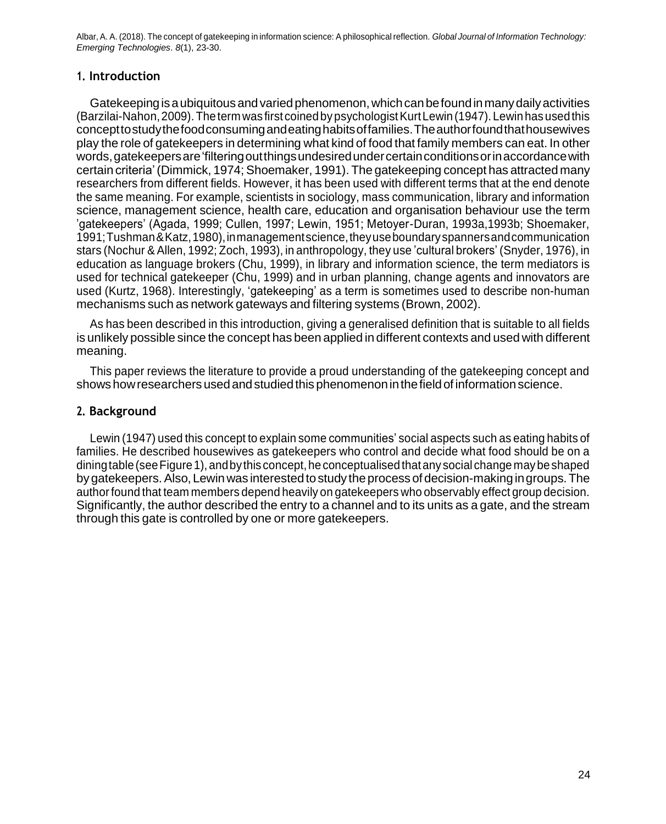### **1. Introduction**

Gatekeepingisaubiquitousandvariedphenomenon,whichcanbefoundinmanydailyactivities (Barzilai-Nahon,2009).Theterm was first coinedbypsychologistKurtLewin (1947). Lewin hasusedthis concepttostudythefoodconsumingandeatinghabitsoffamilies.Theauthorfoundthathousewives play the role of gatekeepers in determining what kind of food that family members can eat. In other words,gatekeepersare'filteringoutthingsundesiredundercertainconditionsorinaccordancewith certain criteria'(Dimmick, 1974; Shoemaker, 1991). The gatekeeping concept has attracted many researchers from different fields. However, it has been used with different terms that at the end denote the same meaning. For example, scientists in sociology, mass communication, library and information science, management science, health care, education and organisation behaviour use the term 'gatekeepers' (Agada, 1999; Cullen, 1997; Lewin, 1951; Metoyer-Duran, 1993a,1993b; Shoemaker, 1991;Tushman&Katz,1980),inmanagementscience,theyuseboundaryspannersandcommunication stars (Nochur & Allen, 1992; Zoch, 1993), in anthropology, they use 'cultural brokers' (Snyder, 1976), in education as language brokers (Chu, 1999), in library and information science, the term mediators is used for technical gatekeeper (Chu, 1999) and in urban planning, change agents and innovators are used (Kurtz, 1968). Interestingly, 'gatekeeping' as a term is sometimes used to describe non-human mechanisms such as network gateways and filtering systems (Brown, 2002).

As has been described in this introduction, giving a generalised definition that is suitable to all fields is unlikely possible since the concept has been applied in different contexts and used with different meaning.

This paper reviews the literature to provide a proud understanding of the gatekeeping concept and showshowresearchers usedandstudiedthis phenomenoninthefieldof informationscience.

#### **2. Background**

Lewin (1947) used this concept to explain some communities' social aspects such as eating habits of families. He described housewives as gatekeepers who control and decide what food should be on a dining table (see Figure 1), and by this concept, he conceptualised that any social change may be shaped by gatekeepers. Also, Lewin was interested to study the process of decision-making in groups. The authorfound that team members depend heavily on gatekeepers who observably effect group decision. Significantly, the author described the entry to a channel and to its units as a gate, and the stream through this gate is controlled by one or more gatekeepers.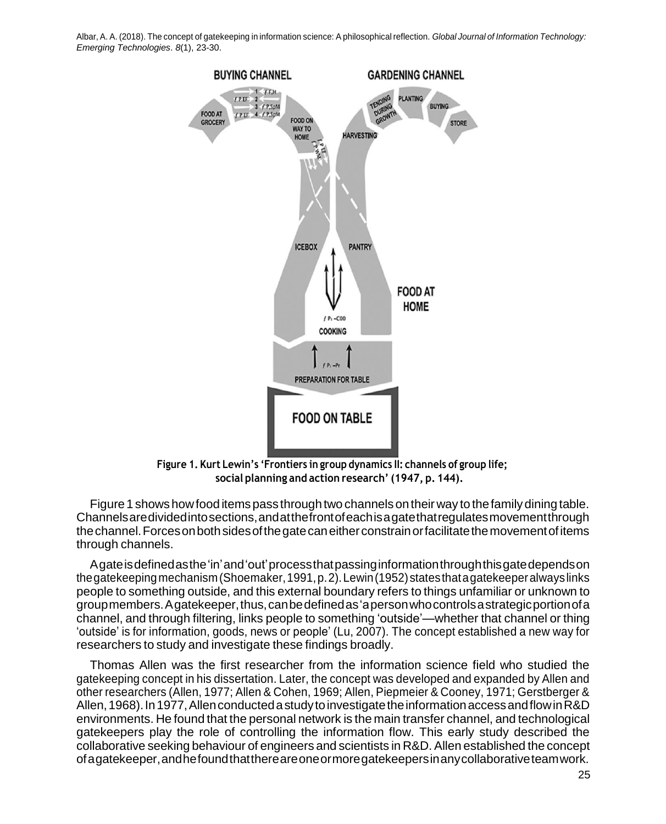

**Figure 1. Kurt Lewin's 'Frontiers in group dynamics II: channels of group life; social planning and action research' (1947, p. 144).**

Figure 1 shows how food items pass through two channels on their way to the family dining table. Channelsaredividedintosections,andatthefrontofeachisagatethatregulatesmovementthrough thechannel.Forcesonbothsidesofthegatecaneitherconstrainorfacilitatethemovementofitems through channels.

Agateisdefinedasthe'in'and'out'processthatpassinginformationthroughthisgatedependson thegatekeepingmechanism(Shoemaker,1991,p.2).Lewin(1952)statesthatagatekeeperalwayslinks people to something outside, and this external boundary refers to things unfamiliar or unknown to groupmembers.Agatekeeper,thus,canbedefinedas'apersonwhocontrolsastrategicportionofa channel, and through filtering, links people to something 'outside'—whether that channel or thing 'outside' is for information, goods, news or people' (Lu, 2007). The concept established a new way for researchers to study and investigate these findings broadly.

Thomas Allen was the first researcher from the information science field who studied the gatekeeping concept in his dissertation. Later, the concept was developed and expanded by Allen and other researchers (Allen, 1977; Allen & Cohen, 1969; Allen, Piepmeier & Cooney, 1971; Gerstberger & Allen, 1968). In 1977, Allen conducted a study to investigate the information access and flow in R&D environments. He found that the personal network is the main transfer channel, and technological gatekeepers play the role of controlling the information flow. This early study described the collaborative seeking behaviour of engineers and scientists in R&D. Allen established the concept ofagatekeeper,andhefoundthatthereareoneormoregatekeepersinanycollaborativeteamwork.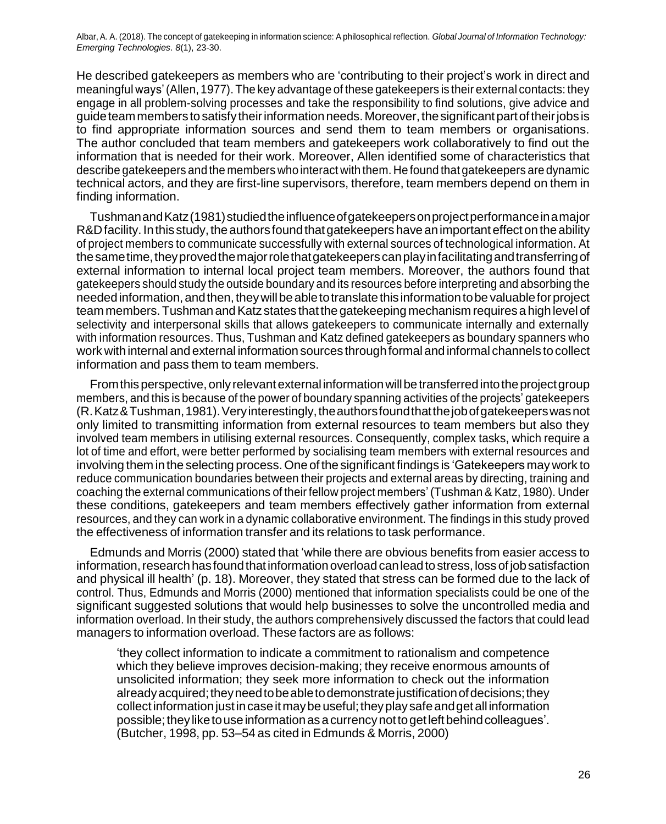He described gatekeepers as members who are 'contributing to their project's work in direct and meaningful ways'(Allen, 1977). The key advantage of these gatekeepers is their external contacts: they engage in all problem-solving processes and take the responsibility to find solutions, give advice and guideteammemberstosatisfytheirinformationneeds.Moreover,thesignificant partoftheirjobs is to find appropriate information sources and send them to team members or organisations. The author concluded that team members and gatekeepers work collaboratively to find out the information that is needed for their work. Moreover, Allen identified some of characteristics that describe gatekeepers and the members whointeract with them. He found that gatekeepers are dynamic technical actors, and they are first-line supervisors, therefore, team members depend on them in finding information.

TushmanandKatz(1981)studiedtheinfluenceofgatekeepersonprojectperformanceinamajor R&D facility. In this study, the authors found that gate keepers have an important effect on the ability of project members to communicate successfully with external sources of technological information. At thesametime,theyprovedthemajorrolethatgatekeeperscanplayinfacilitatingandtransferringof external information to internal local project team members. Moreover, the authors found that gatekeepers should study the outside boundary and its resources before interpreting and absorbing the neededinformation,andthen,theywillbeabletotranslatethisinformationtobe valuableforproject team members. Tushman and Katz states that the gatekeeping mechanism requires a high level of selectivity and interpersonal skills that allows gatekeepers to communicate internally and externally with information resources. Thus, Tushman and Katz defined gatekeepers as boundary spanners who work with internal and external information sources throughformal and informal channels to collect information and pass them to team members.

From this perspective, only relevant external information will be transferred into the project group members, and this is because of the power of boundary spanning activities of the projects' gatekeepers (R.Katz&Tushman,1981).Veryinterestingly,theauthorsfoundthatthejobofgatekeeperswasnot only limited to transmitting information from external resources to team members but also they involved team members in utilising external resources. Consequently, complex tasks, which require a lot of time and effort, were better performed by socialising team members with external resources and involving them in the selecting process.One of the significantfindings is 'Gatekeepers maywork to reduce communication boundaries between their projects and external areas by directing, training and coaching the external communications of their fellow project members'(Tushman & Katz, 1980). Under these conditions, gatekeepers and team members effectively gather information from external resources, and they can work in a dynamic collaborative environment. The findings in this study proved the effectiveness of information transfer and its relations to task performance.

Edmunds and Morris (2000) stated that 'while there are obvious benefits from easier access to information, research has found that information overload can lead to stress, loss of job satisfaction and physical ill health' (p. 18). Moreover, they stated that stress can be formed due to the lack of control. Thus, Edmunds and Morris (2000) mentioned that information specialists could be one of the significant suggested solutions that would help businesses to solve the uncontrolled media and information overload. In their study, the authors comprehensively discussed the factors that could lead managers to information overload. These factors are as follows:

'they collect information to indicate a commitment to rationalism and competence which they believe improves decision-making; they receive enormous amounts of unsolicited information; they seek more information to check out the information already acquired; they need to be able to demonstrate justification of decisions; they collectinformationjustincaseitmaybeuseful;theyplaysafeandget all information possible; they like to use information as a currency not to get left behind colleagues'. (Butcher, 1998, pp. 53–54 as cited in Edmunds & Morris, 2000)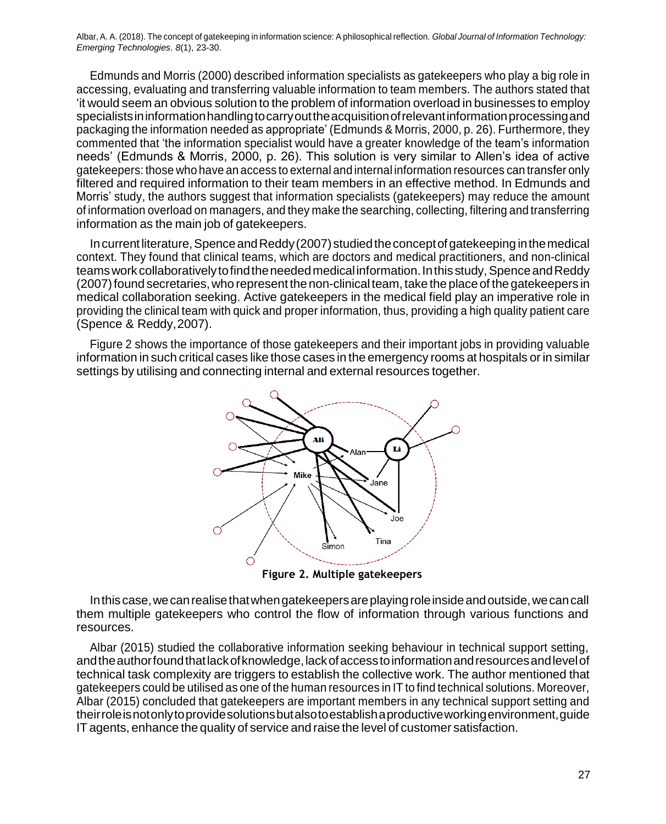Edmunds and Morris (2000) described information specialists as gatekeepers who play a big role in accessing, evaluating and transferring valuable information to team members. The authors stated that 'it would seem an obvious solution to the problem of information overload in businesses to employ specialistsininformationhandlingtocarryouttheacquisitionofrelevantinformationprocessingand packaging the information needed as appropriate' (Edmunds & Morris, 2000, p. 26). Furthermore, they commented that 'the information specialist would have a greater knowledge of the team's information needs' (Edmunds & Morris, 2000, p. 26). This solution is very similar to Allen's idea of active gatekeepers: those who have an access to external and internal information resources can transfer only filtered and required information to their team members in an effective method. In Edmunds and Morris' study, the authors suggest that information specialists (gatekeepers) may reduce the amount of information overload on managers, and they make the searching, collecting, filtering and transferring information as the main job of gatekeepers.

In current literature, Spence and Reddy (2007) studied the concept of gatekeeping in the medical context. They found that clinical teams, which are doctors and medical practitioners, and non-clinical teams work collaboratively to find the needed medical information. In this study, Spence and Reddy (2007) found secretaries, who represent the non-clinical team, take the place of the gatekeepers in medical collaboration seeking. Active gatekeepers in the medical field play an imperative role in providing the clinical team with quick and proper information, thus, providing a high quality patient care (Spence & Reddy,2007).

Figure 2 shows the importance of those gatekeepers and their important jobs in providing valuable information in such critical cases like those cases in the emergency rooms at hospitals or in similar settings by utilising and connecting internal and external resources together.



**Figure 2. Multiple gatekeepers**

In this case, we can realise that when gatekeepers are playing role inside and outside, we can call them multiple gatekeepers who control the flow of information through various functions and resources.

Albar (2015) studied the collaborative information seeking behaviour in technical support setting, andtheauthorfoundthatlackofknowledge,lackofaccesstoinformationandresourcesandlevelof technical task complexity are triggers to establish the collective work. The author mentioned that gatekeepers could be utilised as one of the human resources in IT to find technical solutions. Moreover, Albar (2015) concluded that gatekeepers are important members in any technical support setting and theirroleisnotonlytoprovidesolutionsbutalsotoestablishaproductiveworkingenvironment,guide IT agents, enhance the quality of service and raise the level of customer satisfaction.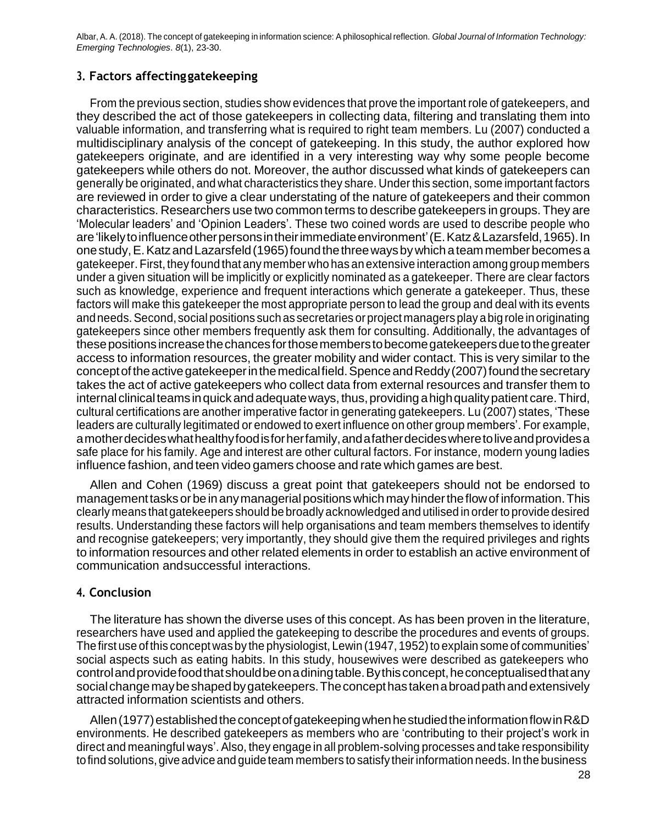#### **3. Factors affectinggatekeeping**

From the previous section, studies show evidences that prove the important role of gatekeepers, and they described the act of those gatekeepers in collecting data, filtering and translating them into valuable information, and transferring what is required to right team members. Lu (2007) conducted a multidisciplinary analysis of the concept of gatekeeping. In this study, the author explored how gatekeepers originate, and are identified in a very interesting way why some people become gatekeepers while others do not. Moreover, the author discussed what kinds of gatekeepers can generally be originated, and what characteristics they share. Under this section, some important factors are reviewed in order to give a clear understating of the nature of gatekeepers and their common characteristics. Researchers use two common terms to describe gatekeepers in groups. They are 'Molecular leaders' and 'Opinion Leaders'. These two coined words are used to describe people who are 'likely to influence other persons in their immediate environment' (E. Katz & Lazarsfeld, 1965). In onestudy,E.KatzandLazarsfeld(1965)foundthethreewaysbywhichateammemberbecomesa gatekeeper. First, they found that any member who has an extensive interaction among group members under a given situation will be implicitly or explicitly nominated as a gatekeeper. There are clear factors such as knowledge, experience and frequent interactions which generate a gatekeeper. Thus, these factors will make this gatekeeper the most appropriate person to lead the group and deal with its events andneeds.Second, social positions such as secretaries orprojectmanagers play abigroleinoriginating gatekeepers since other members frequently ask them for consulting. Additionally, the advantages of thesepositions increasethechancesforthosememberstobecomegatekeepersduetothegreater access to information resources, the greater mobility and wider contact. This is very similar to the concept of the active gatekeeper in the medical field. Spence and Reddy (2007) found the secretary takes the act of active gatekeepers who collect data from external resources and transfer them to internal clinical teams in quick and adequate ways, thus, providing a high quality patient care. Third, cultural certifications are another imperative factor in generating gatekeepers. Lu (2007) states, 'These leaders are culturally legitimated or endowed to exert influence on other group members'. For example, amotherdecideswhathealthyfoodisforherfamily,andafatherdecideswheretoliveandprovidesa safe place for his family. Age and interest are other cultural factors. For instance, modern young ladies influence fashion, and teen video gamers choose and rate which games are best.

Allen and Cohen (1969) discuss a great point that gatekeepers should not be endorsed to managementtasksorbein anymanagerial positionswhichmayhindertheflowof information.This clearly means thatgatekeepers should be broadly acknowledged and utilised in orderto provide desired results. Understanding these factors will help organisations and team members themselves to identify and recognise gatekeepers; very importantly, they should give them the required privileges and rights to information resources and other related elements in order to establish an active environment of communication andsuccessful interactions.

### **4. Conclusion**

The literature has shown the diverse uses of this concept. As has been proven in the literature, researchers have used and applied the gatekeeping to describe the procedures and events of groups. The first use of this concept was by the physiologist, Lewin (1947, 1952) to explain some of communities' social aspects such as eating habits. In this study, housewives were described as gatekeepers who controlandprovidefoodthatshouldbeonadiningtable.Bythisconcept,heconceptualisedthatany social change may be shaped by gatekeepers. The concept has taken a broad path and extensively attracted information scientists and others.

Allen (1977) established the concept of gatekeeping when he studied the information flow in R&D environments. He described gatekeepers as members who are 'contributing to their project's work in direct and meaningful ways'. Also, they engage in all problem-solving processes and take responsibility tofind solutions, give advice and guide team members to satisfy theirinformation needs. In the business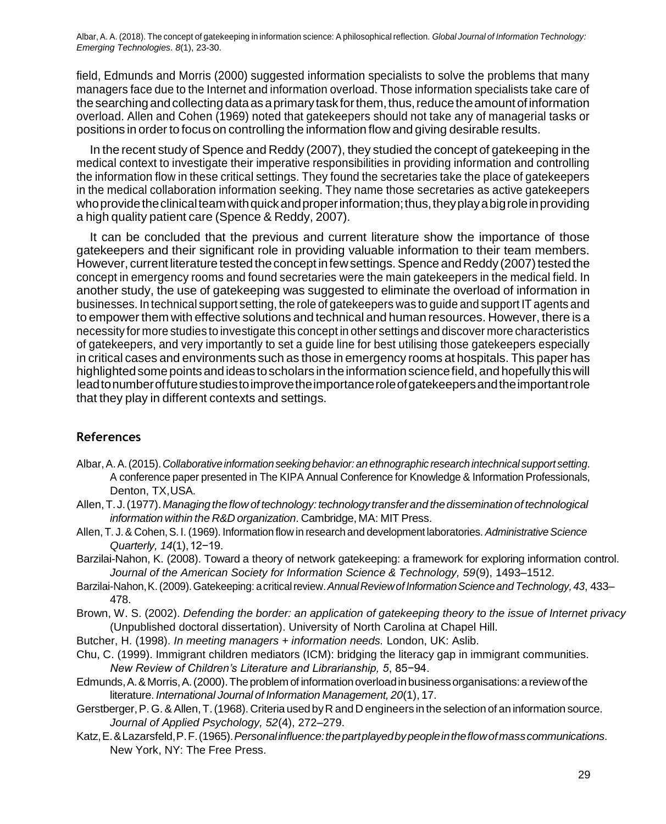field, Edmunds and Morris (2000) suggested information specialists to solve the problems that many managers face due to the Internet and information overload. Those information specialists take care of thesearching andcollecting dataasaprimarytaskforthem,thus,reducetheamountofinformation overload. Allen and Cohen (1969) noted that gatekeepers should not take any of managerial tasks or positions in order to focus on controlling the information flow and giving desirable results.

In the recent study of Spence and Reddy (2007), they studied the concept of gatekeeping in the medical context to investigate their imperative responsibilities in providing information and controlling the information flow in these critical settings. They found the secretaries take the place of gatekeepers in the medical collaboration information seeking. They name those secretaries as active gatekeepers who provide the clinical team with quick and proper information; thus, they play a big role in providing a high quality patient care (Spence & Reddy, 2007).

It can be concluded that the previous and current literature show the importance of those gatekeepers and their significant role in providing valuable information to their team members. However, current literature tested the concept in few settings. Spence and Reddy (2007) tested the concept in emergency rooms and found secretaries were the main gatekeepers in the medical field. In another study, the use of gatekeeping was suggested to eliminate the overload of information in businesses. In technical support setting, the role of gatekeepers was to guide and support IT agents and to empowerthem with effective solutions and technical and human resources. However, there is a necessity for more studies to investigate this concept in other settings and discover more characteristics of gatekeepers, and very importantly to set a guide line for best utilising those gatekeepers especially in critical cases and environments such as those in emergency rooms at hospitals. This paper has highlighted some points and ideas to scholars in the information science field, and hopefully this will leadtonumberoffuturestudiestoimprovetheimportanceroleofgatekeepersandtheimportantrole that they play in different contexts and settings.

### **References**

- Albar,A.A.(2015).*Collaborativeinformation seekingbehavior: an ethnographic researchintechnical support setting*. A conference paper presented in The KIPA Annual Conference for Knowledge & Information Professionals, Denton, TX,USA.
- Allen,T.J.(1977). *Managingtheflow of technology:technology transferand thedisseminationof technological information within the R&D organization*. Cambridge, MA: MIT Press.
- Allen, T. J.& Cohen,S. I. (1969). Information flow in research and development laboratories. *AdministrativeScience Quarterly, 14*(1),12−19.
- Barzilai-Nahon, K. (2008). Toward a theory of network gatekeeping: a framework for exploring information control. *Journal of the American Society for Information Science & Technology, 59*(9), 1493–1512.
- Barzilai-Nahon, K. (2009). Gatekeeping: a critical review. Annual Review of Information Science and Technology, 43, 433– 478.
- Brown, W. S. (2002). *Defending the border: an application of gatekeeping theory to the issue of Internet privacy* (Unpublished doctoral dissertation). University of North Carolina at Chapel Hill.
- Butcher, H. (1998). *In meeting managers + information needs.* London, UK: Aslib.
- Chu, C. (1999). Immigrant children mediators (ICM): bridging the literacy gap in immigrant communities. *New Review of Children's Literature and Librarianship, 5*, 85−94.
- Edmunds, A. & Morris, A. (2000). The problem of information overload in business organisations: a review of the literature. *International Journal of Information Management, 20*(1), 17.
- Gerstberger,P. G.&Allen,T.(1968). Criteria usedbyR andD engineers in the selection of an information source. *Journal of Applied Psychology, 52*(4), 272–279.
- Katz,E.&Lazarsfeld,P.F.(1965).*Personalinfluence:thepartplayedbypeopleintheflowofmasscommunications*. New York, NY: The Free Press.